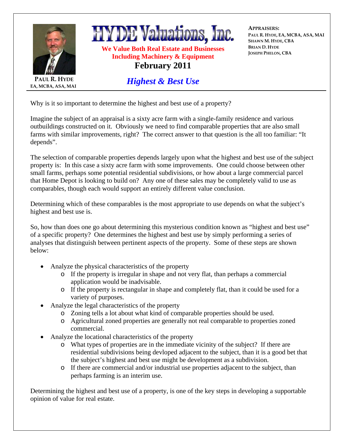

**EA, MCBA, ASA, MAI**

**HYDE Valuations, Inc.** 

**We Value Both Real Estate and Businesses Including Machinery & Equipment February 2011** 

*Highest & Best Use*

**APPRAISERS: PAUL R. HYDE, EA, MCBA, ASA, MAI SHAWN M. HYDE, CBA BRIAN D. HYDE JOSEPH PHELON, CBA**

Why is it so important to determine the highest and best use of a property?

Imagine the subject of an appraisal is a sixty acre farm with a single-family residence and various outbuildings constructed on it. Obviously we need to find comparable properties that are also small farms with similar improvements, right? The correct answer to that question is the all too familiar: "It depends".

The selection of comparable properties depends largely upon what the highest and best use of the subject property is: In this case a sixty acre farm with some improvements. One could choose between other small farms, perhaps some potential residential subdivisions, or how about a large commercial parcel that Home Depot is looking to build on? Any one of these sales may be completely valid to use as comparables, though each would support an entirely different value conclusion.

Determining which of these comparables is the most appropriate to use depends on what the subject's highest and best use is.

So, how than does one go about determining this mysterious condition known as "highest and best use" of a specific property? One determines the highest and best use by simply performing a series of analyses that distinguish between pertinent aspects of the property. Some of these steps are shown below:

- Analyze the physical characteristics of the property
	- o If the property is irregular in shape and not very flat, than perhaps a commercial application would be inadvisable.
	- o If the property is rectangular in shape and completely flat, than it could be used for a variety of purposes.
- Analyze the legal characteristics of the property
	- o Zoning tells a lot about what kind of comparable properties should be used.
	- o Agricultural zoned properties are generally not real comparable to properties zoned commercial.
- Analyze the locational characteristics of the property
	- o What types of properties are in the immediate vicinity of the subject? If there are residential subdivisions being devloped adjacent to the subject, than it is a good bet that the subject's highest and best use might be development as a subdivision.
	- o If there are commercial and/or industrial use properties adjacent to the subject, than perhaps farming is an interim use.

Determining the highest and best use of a property, is one of the key steps in developing a supportable opinion of value for real estate.